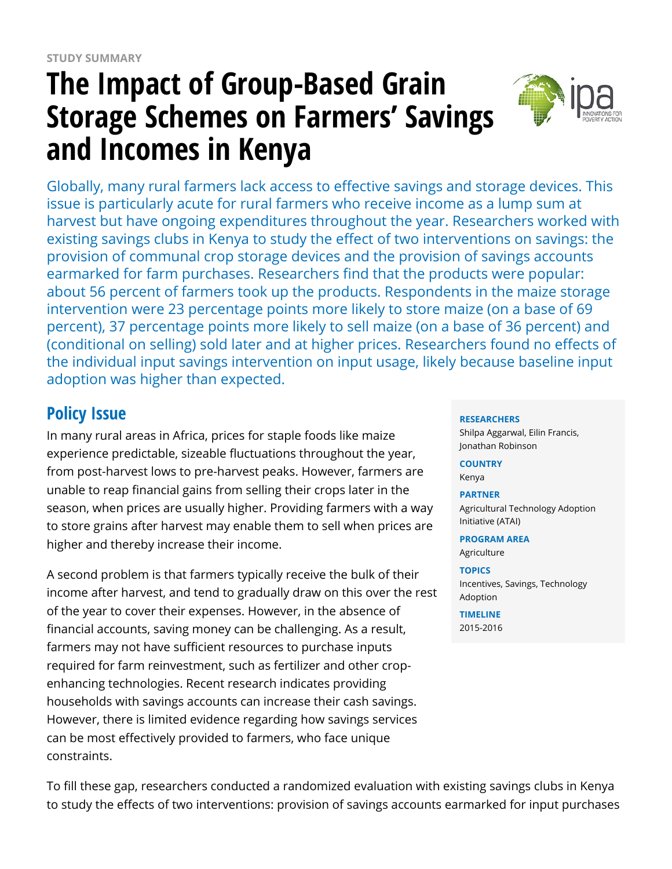# **The Impact of Group-Based Grain Storage Schemes on Farmers' Savings and Incomes in Kenya**



Globally, many rural farmers lack access to effective savings and storage devices. This issue is particularly acute for rural farmers who receive income as a lump sum at harvest but have ongoing expenditures throughout the year. Researchers worked with existing savings clubs in Kenya to study the effect of two interventions on savings: the provision of communal crop storage devices and the provision of savings accounts earmarked for farm purchases. Researchers find that the products were popular: about 56 percent of farmers took up the products. Respondents in the maize storage intervention were 23 percentage points more likely to store maize (on a base of 69 percent), 37 percentage points more likely to sell maize (on a base of 36 percent) and (conditional on selling) sold later and at higher prices. Researchers found no effects of the individual input savings intervention on input usage, likely because baseline input adoption was higher than expected.

# **Policy Issue**

In many rural areas in Africa, prices for staple foods like maize experience predictable, sizeable fluctuations throughout the year, from post-harvest lows to pre-harvest peaks. However, farmers are unable to reap financial gains from selling their crops later in the season, when prices are usually higher. Providing farmers with a way to store grains after harvest may enable them to sell when prices are higher and thereby increase their income.

A second problem is that farmers typically receive the bulk of their income after harvest, and tend to gradually draw on this over the rest of the year to cover their expenses. However, in the absence of financial accounts, saving money can be challenging. As a result, farmers may not have sufficient resources to purchase inputs required for farm reinvestment, such as fertilizer and other cropenhancing technologies. Recent research indicates providing households with savings accounts can increase their cash savings. However, there is limited evidence regarding how savings services can be most effectively provided to farmers, who face unique constraints.

#### **RESEARCHERS**

Shilpa Aggarwal, Eilin Francis, Jonathan Robinson

#### **COUNTRY**

Kenya

#### **PARTNER**

Agricultural Technology Adoption Initiative (ATAI)

#### **PROGRAM AREA**

Agriculture

#### **TOPICS**

Incentives, Savings, Technology Adoption

**TIMELINE** 2015-2016

To fill these gap, researchers conducted a randomized evaluation with existing savings clubs in Kenya to study the effects of two interventions: provision of savings accounts earmarked for input purchases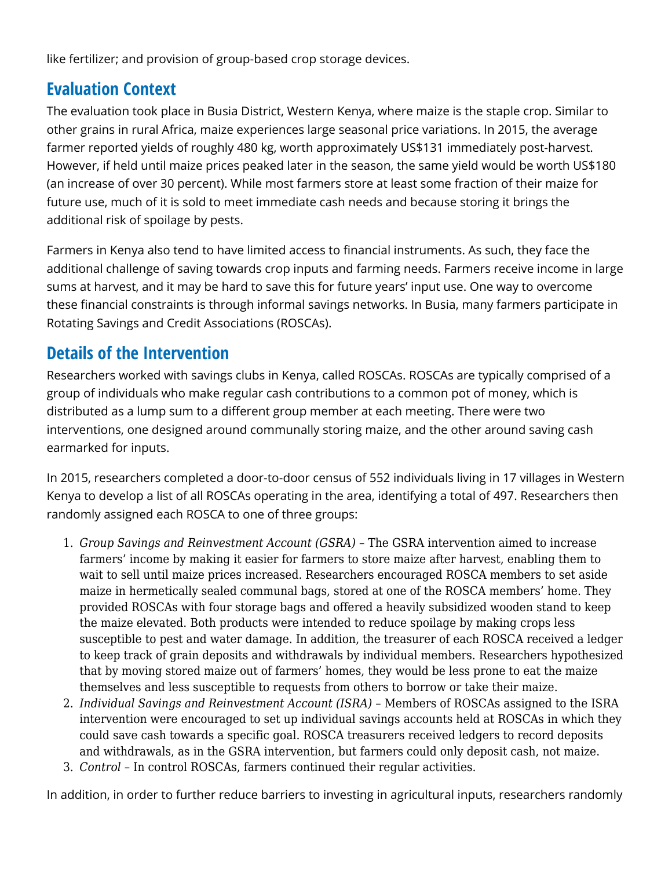like fertilizer; and provision of group-based crop storage devices.

### **Evaluation Context**

The evaluation took place in Busia District, Western Kenya, where maize is the staple crop. Similar to other grains in rural Africa, maize experiences large seasonal price variations. In 2015, the average farmer reported yields of roughly 480 kg, worth approximately US\$131 immediately post-harvest. However, if held until maize prices peaked later in the season, the same yield would be worth US\$180 (an increase of over 30 percent). While most farmers store at least some fraction of their maize for future use, much of it is sold to meet immediate cash needs and because storing it brings the additional risk of spoilage by pests.

Farmers in Kenya also tend to have limited access to financial instruments. As such, they face the additional challenge of saving towards crop inputs and farming needs. Farmers receive income in large sums at harvest, and it may be hard to save this for future years' input use. One way to overcome these financial constraints is through informal savings networks. In Busia, many farmers participate in Rotating Savings and Credit Associations (ROSCAs).

## **Details of the Intervention**

Researchers worked with savings clubs in Kenya, called ROSCAs. ROSCAs are typically comprised of a group of individuals who make regular cash contributions to a common pot of money, which is distributed as a lump sum to a different group member at each meeting. There were two interventions, one designed around communally storing maize, and the other around saving cash earmarked for inputs.

In 2015, researchers completed a door-to-door census of 552 individuals living in 17 villages in Western Kenya to develop a list of all ROSCAs operating in the area, identifying a total of 497. Researchers then randomly assigned each ROSCA to one of three groups:

- 1. *Group Savings and Reinvestment Account (GSRA)* The GSRA intervention aimed to increase farmers' income by making it easier for farmers to store maize after harvest, enabling them to wait to sell until maize prices increased. Researchers encouraged ROSCA members to set aside maize in hermetically sealed communal bags, stored at one of the ROSCA members' home. They provided ROSCAs with four storage bags and offered a heavily subsidized wooden stand to keep the maize elevated. Both products were intended to reduce spoilage by making crops less susceptible to pest and water damage. In addition, the treasurer of each ROSCA received a ledger to keep track of grain deposits and withdrawals by individual members. Researchers hypothesized that by moving stored maize out of farmers' homes, they would be less prone to eat the maize themselves and less susceptible to requests from others to borrow or take their maize.
- 2. *Individual Savings and Reinvestment Account (ISRA)* Members of ROSCAs assigned to the ISRA intervention were encouraged to set up individual savings accounts held at ROSCAs in which they could save cash towards a specific goal. ROSCA treasurers received ledgers to record deposits and withdrawals, as in the GSRA intervention, but farmers could only deposit cash, not maize.
- 3. *Control* In control ROSCAs, farmers continued their regular activities.

In addition, in order to further reduce barriers to investing in agricultural inputs, researchers randomly